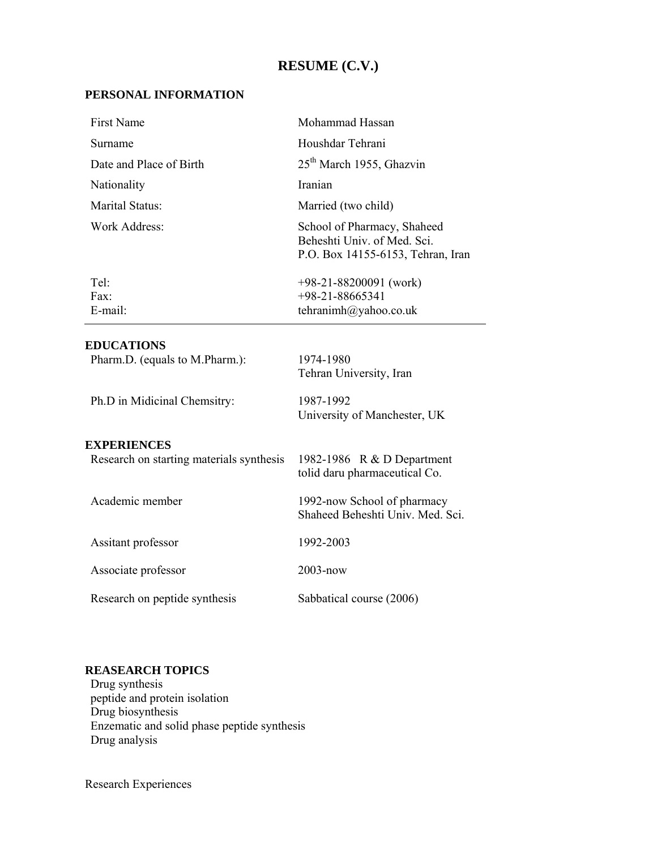## **RESUME (C.V.)**

-

### **PERSONAL INFORMATION**

| First Name                                          | Mohammad Hassan                                                                                 |  |  |  |
|-----------------------------------------------------|-------------------------------------------------------------------------------------------------|--|--|--|
| Surname                                             | Houshdar Tehrani                                                                                |  |  |  |
| Date and Place of Birth                             | 25 <sup>th</sup> March 1955, Ghazvin                                                            |  |  |  |
| Nationality                                         | Iranian                                                                                         |  |  |  |
| Marital Status:                                     | Married (two child)                                                                             |  |  |  |
| Work Address:                                       | School of Pharmacy, Shaheed<br>Beheshti Univ. of Med. Sci.<br>P.O. Box 14155-6153, Tehran, Iran |  |  |  |
| Tel:                                                | $+98-21-88200091$ (work)                                                                        |  |  |  |
| Fax:                                                | $+98-21-88665341$                                                                               |  |  |  |
| E-mail:                                             | tehranimh@yahoo.co.uk                                                                           |  |  |  |
| <b>EDUCATIONS</b><br>Dharm $D$ (aquals to M Dharm). | 1074, 1000                                                                                      |  |  |  |

| EDUCATION<br>Pharm.D. (equals to M.Pharm.):                    | 1974-1980<br>Tehran University, Iran                            |
|----------------------------------------------------------------|-----------------------------------------------------------------|
| Ph.D in Midicinal Chemsitry:                                   | 1987-1992<br>University of Manchester, UK                       |
| <b>EXPERIENCES</b><br>Research on starting materials synthesis | 1982-1986 R & D Department<br>tolid daru pharmaceutical Co.     |
| Academic member                                                | 1992-now School of pharmacy<br>Shaheed Beheshti Univ. Med. Sci. |
| Assitant professor                                             | 1992-2003                                                       |
| Associate professor                                            | $2003 - now$                                                    |
| Research on peptide synthesis                                  | Sabbatical course (2006)                                        |
|                                                                |                                                                 |

### **REASEARCH TOPICS**

Drug synthesis peptide and protein isolation Drug biosynthesis Enzematic and solid phase peptide synthesis Drug analysis

Research Experiences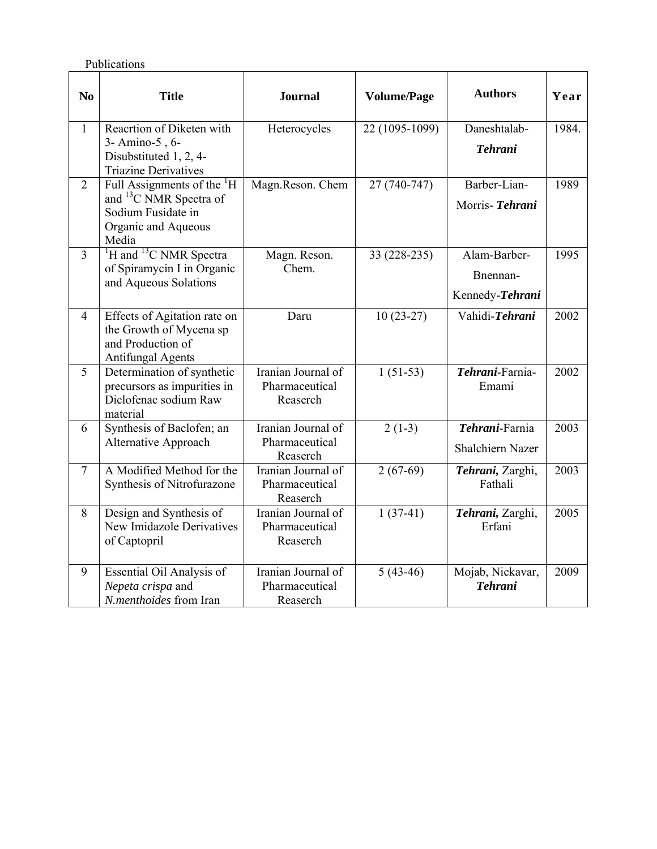Publications

| N <sub>0</sub> | <b>Title</b>                                                                                                                       | <b>Journal</b>                                   | <b>Volume/Page</b> | <b>Authors</b>                              | Year  |
|----------------|------------------------------------------------------------------------------------------------------------------------------------|--------------------------------------------------|--------------------|---------------------------------------------|-------|
| $\mathbf{1}$   | Reacrtion of Diketen with<br>3- Amino-5, 6-<br>Disubstituted 1, 2, 4-<br><b>Triazine Derivatives</b>                               | Heterocycles                                     | 22 (1095-1099)     | Daneshtalab-<br><b>Tehrani</b>              | 1984. |
| $\overline{2}$ | Full Assignments of the <sup>1</sup> H<br>and <sup>13</sup> C NMR Spectra of<br>Sodium Fusidate in<br>Organic and Aqueous<br>Media | Magn.Reson. Chem                                 | 27 (740-747)       | Barber-Lian-<br>Morris-Tehrani              | 1989  |
| $\overline{3}$ | <sup>1</sup> H and <sup>13</sup> C NMR Spectra<br>of Spiramycin I in Organic<br>and Aqueous Solations                              | Magn. Reson.<br>Chem.                            | 33 (228-235)       | Alam-Barber-<br>Bnennan-<br>Kennedy-Tehrani | 1995  |
| $\overline{4}$ | Effects of Agitation rate on<br>the Growth of Mycena sp<br>and Production of<br><b>Antifungal Agents</b>                           | Daru                                             | $10(23-27)$        | Vahidi-Tehrani                              | 2002  |
| 5              | Determination of synthetic<br>precursors as impurities in<br>Diclofenac sodium Raw<br>material                                     | Iranian Journal of<br>Pharmaceutical<br>Reaserch | $1(51-53)$         | Tehrani-Farnia-<br>Emami                    | 2002  |
| 6              | Synthesis of Baclofen; an<br>Alternative Approach                                                                                  | Iranian Journal of<br>Pharmaceutical<br>Reaserch | $2(1-3)$           | Tehrani-Farnia<br>Shalchiern Nazer          | 2003  |
| $\overline{7}$ | A Modified Method for the<br>Synthesis of Nitrofurazone                                                                            | Iranian Journal of<br>Pharmaceutical<br>Reaserch | $2(67-69)$         | Tehrani, Zarghi,<br>Fathali                 | 2003  |
| 8              | Design and Synthesis of<br>New Imidazole Derivatives<br>of Captopril                                                               | Iranian Journal of<br>Pharmaceutical<br>Reaserch | $1(37-41)$         | Tehrani, Zarghi,<br>Erfani                  | 2005  |
| 9              | Essential Oil Analysis of<br>Nepeta crispa and<br>N.menthoides from Iran                                                           | Iranian Journal of<br>Pharmaceutical<br>Reaserch | $5(43-46)$         | Mojab, Nickavar,<br><b>Tehrani</b>          | 2009  |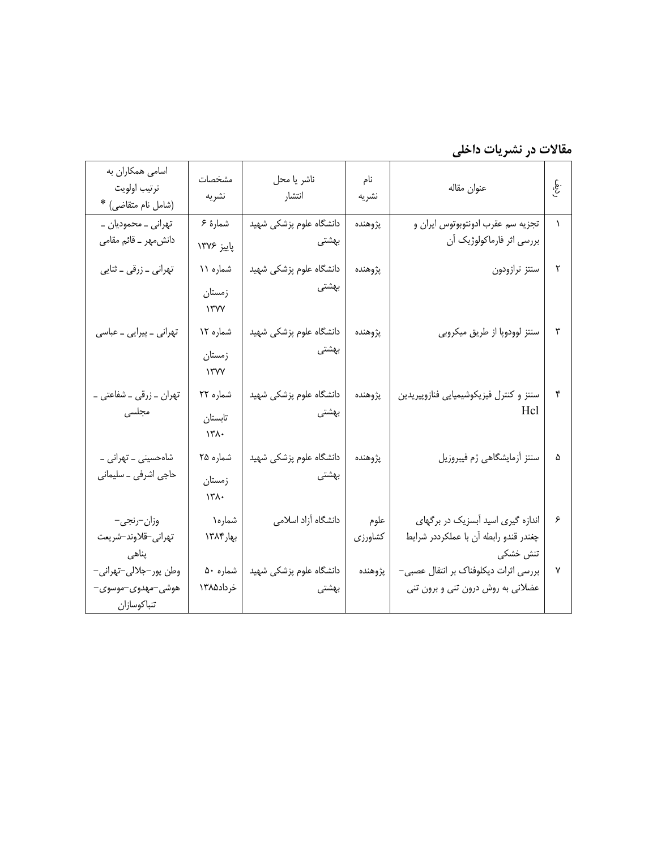رديف **مقالات در نشريات داخلي** 

| اسامی همکاران به<br>ترتيب اولويت<br>(شامل نام متقاضی) *   | مشخصات<br>نشريه                               | ناشر يا محل<br>انتشار            | نام<br>نشريه    | عنوان مقاله                                                                            | نې<br>په |
|-----------------------------------------------------------|-----------------------------------------------|----------------------------------|-----------------|----------------------------------------------------------------------------------------|----------|
| تھرانی _ محمودیان _<br>دانش.مهر ــ قائم مقامی             | شمارهٔ ۶<br>پاييز ۱۳۷۶                        | دانشگاه علوم پزشکی شهید<br>بهشتی | پژوهنده         | تجزيه سم عقرب ادونتوبوتوس ايران و<br>بررسی اثر فارماکولوژیک آن                         |          |
| تهراني _ زرقي _ ثنايي                                     | شماره ۱۱<br>زمستان<br>$\gamma$ ۳۷۷            | دانشگاه علوم پزشکی شهید<br>بهشتی | پژوهنده         | سنتز ترازودون                                                                          | ٢        |
| تھرانی _ پیرایی _ عباسی                                   | شماره ۱۲<br>زمستان<br>$\gamma$                | دانشگاه علوم پزشکی شهید<br>بهشتی | پژوهنده         | سنتز لوودوپا از طريق ميكروبي                                                           | ٣        |
| تھران ــ زرقى ــ شفاعتى ــ<br>مجلسی                       | شماره ۲۲<br>تابستان<br>$\mathcal{N}^{\prime}$ | دانشگاه علوم پزشکی شهید<br>بهشتی | پژوهنده         | سنتز و كنترل فيزيكوشيميايي فنازوپيريدين<br>Hcl                                         | ۴        |
| شاہحسینی ـ تھرانی ـ<br>حاجي اشرفي _ سليماني               | شماره ۲۵<br>زمستان<br>$\lambda$ ۳۸۰           | دانشگاه علوم پزشکی شهید<br>بهشتی | پژوهنده         | سنتز أزمايشگاهي ژم فيبروزيل                                                            | ۵        |
| وزان–رنجي–<br>تهراني-قلاوند-شريعت<br>پناهی                | شماره۱<br>بهار۱۳۸۴                            | دانشگاه آزاد اسلامی              | علوم<br>كشاورزي | اندازه گیری اسید آبسزیک در برگهای<br>چغندر قندو رابطه آن با عملکرددر شرایط<br>تنش خشکی | ۶        |
| وطن پور-جلالي-تهراني-<br>هوشي–مهدوي–موسوي–<br>تنباكوسازان | شماره ۵۰<br>خرداد۱۳۸۵                         | دانشگاه علوم پزشکی شهید<br>بهشتی | پژوهنده         | بررسی اثرات دیکلوفناک بر انتقال عصبی–<br>عضلانی به روش درون تنی و برون تنی             |          |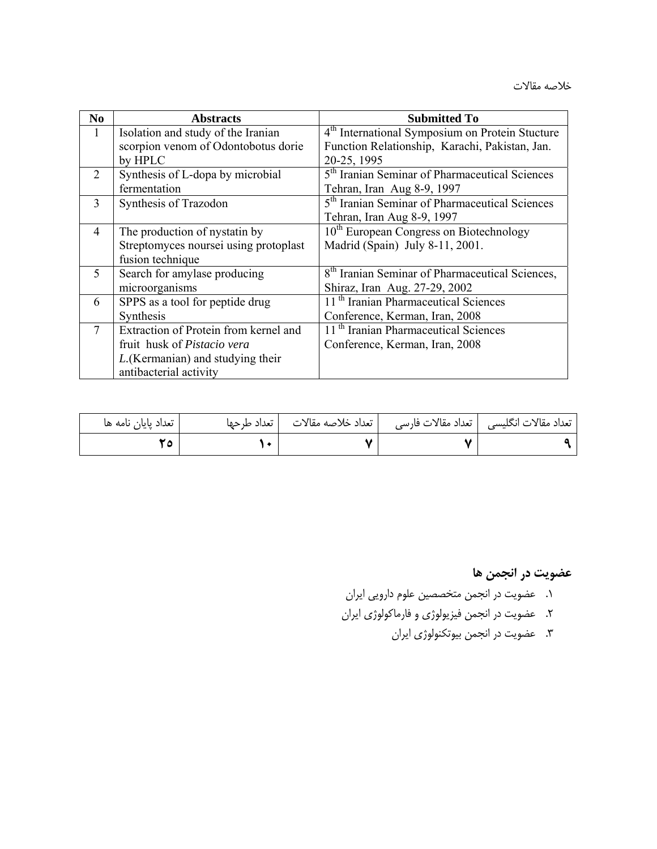خلاصه مقالات

| N <sub>0</sub> | <b>Abstracts</b>                      | <b>Submitted To</b>                                         |
|----------------|---------------------------------------|-------------------------------------------------------------|
| $\mathbf{1}$   | Isolation and study of the Iranian    | 4 <sup>th</sup> International Symposium on Protein Stucture |
|                | scorpion venom of Odontobotus dorie   | Function Relationship, Karachi, Pakistan, Jan.              |
|                | by HPLC                               | 20-25, 1995                                                 |
| 2              | Synthesis of L-dopa by microbial      | 5 <sup>th</sup> Iranian Seminar of Pharmaceutical Sciences  |
|                | fermentation                          | Tehran, Iran Aug 8-9, 1997                                  |
| 3              | Synthesis of Trazodon                 | 5 <sup>th</sup> Iranian Seminar of Pharmaceutical Sciences  |
|                |                                       | Tehran, Iran Aug 8-9, 1997                                  |
| 4              | The production of nystatin by         | $10th$ European Congress on Biotechnology                   |
|                | Streptomyces noursei using protoplast | Madrid (Spain) July 8-11, 2001.                             |
|                | fusion technique                      |                                                             |
| 5              | Search for amylase producing          | 8 <sup>th</sup> Iranian Seminar of Pharmaceutical Sciences, |
|                | microorganisms                        | Shiraz, Iran Aug. 27-29, 2002                               |
| 6              | SPPS as a tool for peptide drug       | 11 <sup>th</sup> Iranian Pharmaceutical Sciences            |
|                | Synthesis                             | Conference, Kerman, Iran, 2008                              |
| 7              | Extraction of Protein from kernel and | 11 <sup>th</sup> Iranian Pharmaceutical Sciences            |
|                | fruit husk of <i>Pistacio vera</i>    | Conference, Kerman, Iran, 2008                              |
|                | L. (Kermanian) and studying their     |                                                             |
|                | antibacterial activity                |                                                             |

| تعداد پایان نامه ها | تعداد خلاصه مقالات   تعداد طرحها | تعداد مقالات انگلیسی   تعداد مقالات فارسی |
|---------------------|----------------------------------|-------------------------------------------|
|                     |                                  |                                           |

**عضويت در انجمن ها** 

- .1 عضويت در انجمن متخصصين علوم دارويي ايران
- .2 عضويت در انجمن فيزيولوژي و فارماكولوژي ايران
	- .3 عضويت در انجمن بيوتكنولوژي ايران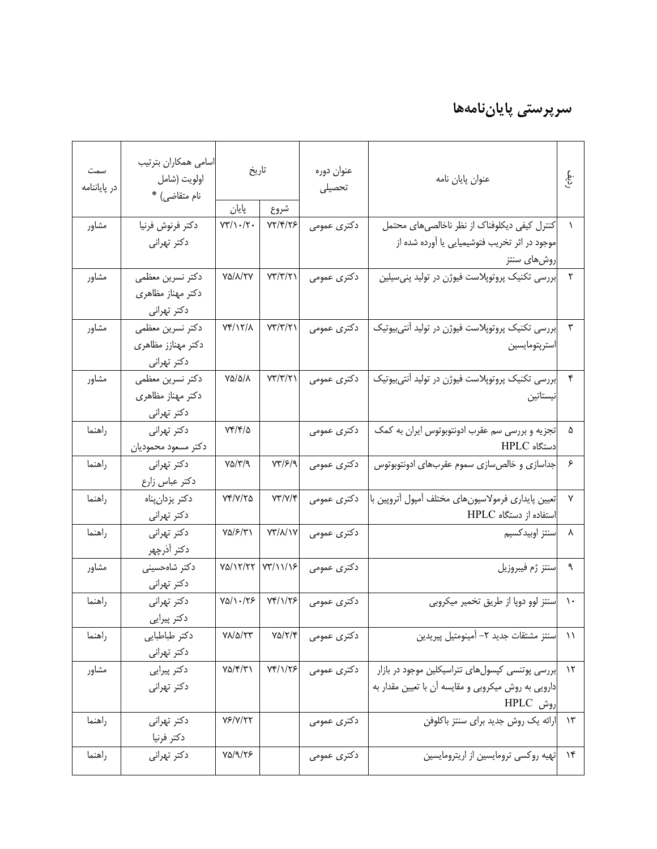# **سرپرستي پاياننامهها**

| سمت<br>در پایاننامه | اسامى همكاران بترتيب<br>اولويت (شامل<br>نام متقاضى) * | تاريخ<br>پایان                                  | شروع                          | عنوان دوره<br>تحصيلى | عنوان پايان نامه                                    | غ.<br>پ      |
|---------------------|-------------------------------------------------------|-------------------------------------------------|-------------------------------|----------------------|-----------------------------------------------------|--------------|
|                     |                                                       | $VT/\Upsilon$ .                                 | 77/۴/۲۶                       |                      |                                                     |              |
| مشاور               | دكتر فرنوش فرنيا                                      |                                                 |                               | دکتری عمومی          | کنترل کیفی دیکلوفناک از نظر ناخالصیهای محتمل        |              |
|                     | دکتر تهرانی                                           |                                                 |                               |                      | موجود در اثر تخریب فتوشیمیایی یا آورده شده از       |              |
|                     |                                                       |                                                 |                               |                      | روشهای سنتز                                         |              |
| مشاور               | دكتر نسرين معظمى                                      | VA/A/TV                                         | $Y\Upsilon/\Upsilon/\Upsilon$ | دکتری عمومی          | إبررسي تكنيك پروتوپلاست فيوژن در توليد پني سيلين    | $\mathsf{r}$ |
|                     | دکتر مهناز مظاهری                                     |                                                 |                               |                      |                                                     |              |
|                     | دکتر تهرانی                                           |                                                 |                               |                      |                                                     |              |
| مشاور               | دكتر نسرين معظمى                                      | Yf/Y/A                                          | $Y\gamma/\gamma/\gamma$       | دکتری عمومی          | بررسی تکنیک پروتوپلاست فیوژن در تولید آنتی،یوتیک    | $\mathbf{r}$ |
|                     | دکتر مهنازز مظاهری                                    |                                                 |                               |                      | استرپتومايسين                                       |              |
|                     | دکتر تهرانی                                           |                                                 |                               |                      |                                                     |              |
| مشاور               | دكتر نسرين معظمى                                      | $V\Delta/\Delta/\lambda$                        | YT/T/T                        | دکتری عمومی          | بررسی تکنیک پروتوپلاست فیوژن در تولید آنتیبیوتیک    | $\mathbf{r}$ |
|                     | دکتر مهناز مظاهری                                     |                                                 |                               |                      | نيستاتين                                            |              |
|                     | دکتر تهرانی                                           |                                                 |                               |                      |                                                     |              |
| راهنما              | دکتر تهرانی                                           | ۲۴/۴/۵                                          |                               | دکتری عمومی          | تجزیه و بررسی سم عقرب ادونتوبوتوس ایران به کمک      | ۵            |
|                     | دكتر مسعود محموديان                                   |                                                 |                               |                      | دستگاه HPLC                                         |              |
| راهنما              | دکتر تهرانی                                           | $Y\Delta/\Upsilon/\Upsilon$                     | $YY/\mathcal{F}/\mathcal{A}$  | دکتری عمومی          | جداسازی و خالصسازی سموم عقربهای ادونتوبوتوس         | ۶            |
|                     | دکتر عباس زارع                                        |                                                 |                               |                      |                                                     |              |
| راهنما              | دكتر يزدان پناه                                       | <b>VF/V/۲۵</b>                                  | YY/Y/Y                        | دکتری عمومی          | تعيين پايدارى فرمولاسيونهاى مختلف أمپول أتروپين با  | ۷            |
|                     | دکتر تهرانی                                           |                                                 |                               |                      | استفاده از دستگاه HPLC                              |              |
| راهنما              | دکتر تهرانی                                           | ۷۵/۶/۳۱                                         | YY/N/Y                        | دکتری عمومی          | سنتز اوبيدكسيم                                      | ۸            |
|                     | دكتر أذرچهر                                           |                                                 |                               |                      |                                                     |              |
| مشاور               | دكتر شاهحسينى                                         | $Y\Delta/Y/YY$                                  | $YY/\Upsilon$                 | دكترى عمومى          | سنتز ژم فيبروزيل                                    | ٩            |
|                     | دکتر تهرانی                                           |                                                 |                               |                      |                                                     |              |
| راهنما              | دكتر تهراني                                           | $Y\Delta/\backslash\cdot/\backslash\mathcal{F}$ | $Yf/\gamma/\gamma$            | دکتری عمومی          | سنتز لوو دوپا از طريق تخمير ميكروبي                 |              |
|                     | دکتر پیرایی                                           |                                                 |                               |                      |                                                     |              |
| راهنما              | دكتر طباطبايي                                         | $Y/\Delta/YY$                                   | $Y\Delta/Y/\mathfrak{F}$      | دكترى عمومى          | سنتز مشتقات جديد ٢– آمينومتيل پيريدين               | $\setminus$  |
|                     | دکتر تهرانی                                           |                                                 |                               |                      |                                                     |              |
| مشاور               | دكتر پيرايي                                           | $Y\Delta/\mathfrak{f}/\mathfrak{r}$             | <b>VF/1/78</b>                | دکتری عمومی          | بررسی پوتنسی کپسولهای تتراسیکلین موجود در بازار     | $\lambda$    |
|                     | دكتر تهراني                                           |                                                 |                               |                      | دارویی به روش میکروبی و مقایسه آن با تعیین مقدار به |              |
|                     |                                                       |                                                 |                               |                      | روش HPLC                                            |              |
| راهنما              | دكتر تهراني                                           | $Y$ $Y$ $Y$ $Y$ $Y$                             |                               | دکتری عمومی          | ارائه یک روش جدید برای سنتز باکلوفن                 | $\gamma$ ۳   |
|                     | دكتر فرنيا                                            |                                                 |                               |                      |                                                     |              |
| راهنما              | دكتر تهراني                                           | $Y\Delta/\mathcal{A}/\mathcal{Y}$               |                               | دکتری عمومی          | تهیه روکسی ترومایسین از اریترومایسین                | $\lambda$    |
|                     |                                                       |                                                 |                               |                      |                                                     |              |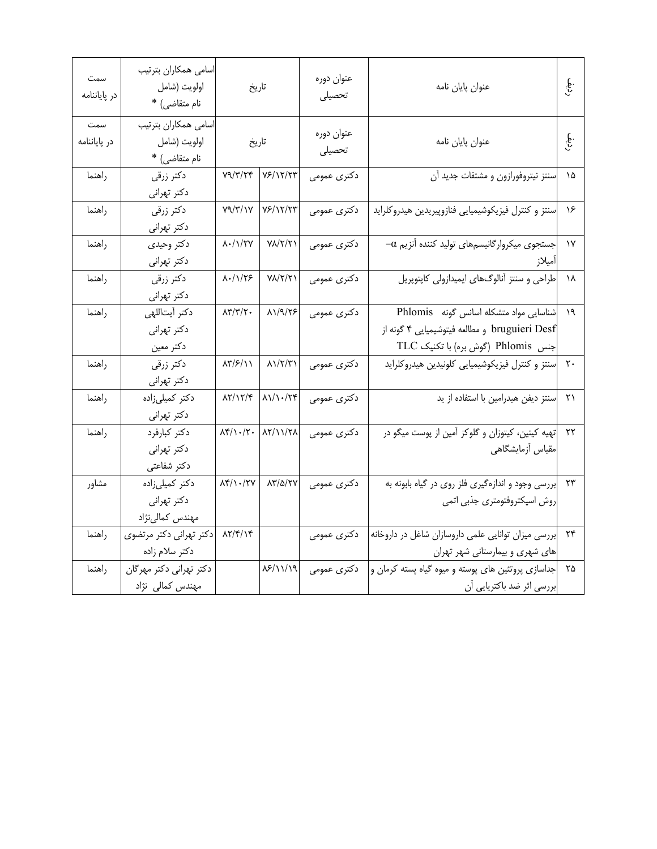| سمت<br>در پایاننامه | اسامى همكاران بترتيب<br>اولويت (شامل<br>نام متقاضى) * | تاريخ                                                     |                                                                                          | عنوان دوره<br>تحصيلى | عنوان پايان نامه                                                                                                             |                   |                  |                              |
|---------------------|-------------------------------------------------------|-----------------------------------------------------------|------------------------------------------------------------------------------------------|----------------------|------------------------------------------------------------------------------------------------------------------------------|-------------------|------------------|------------------------------|
| سمت<br>در پایاننامه | اسامى همكاران بترتيب<br>اولويت (شامل<br>نام متقاضى) * | تاريخ                                                     |                                                                                          | عنوان دوره<br>تحصيلى |                                                                                                                              |                   | عنوان پايان نامه | $\widetilde{\mathfrak{g}}$ . |
| راهنما              | دکتر زرقی<br>دکتر تهرانی                              |                                                           | $Y9/Y/YY$ $Y5/Y/Y$                                                                       | دکتری عمومی          | سنتز نيتروفورازون و مشتقات جديد آن                                                                                           | ١۵                |                  |                              |
| راهنما              | دکتر زرقی<br>دکتر تهرانی                              |                                                           | $Y9/Y/Y$ $Y5/Y$                                                                          | دکتری عمومی          | سنتز و كنترل فيزيكوشيميايي فنازوپيريدين هيدروكلرايد                                                                          | ۱۶                |                  |                              |
| راهنما              | دكتر وحيدى<br>دکتر تهرانی                             | <b>۸۰/۱/۲۷</b>                                            | $Y\lambda/Y/Y$                                                                           | دکتری عمومی          | $-\alpha$ جستجوی میکروارگانیسمهای تولید کننده آنزیم                                                                          | ١٧                |                  |                              |
| راهنما              | دکتر زرقی<br>دکتر تهرانی                              | $\lambda$ ./ $\sqrt{55}$                                  | $Y\Lambda/Y/Y$                                                                           | دکتری عمومی          | طراحی و سنتز آنالوگهای ایمیدازولی کاپتوپریل                                                                                  | ١٨                |                  |                              |
| راهنما              | دكتر أيتاللهي<br>دکتر تهرانی<br>دكتر معين             | $\lambda \mathbf{Y}/\mathbf{Y}/\mathbf{Y}$ .              | 11/9/75                                                                                  | دکتری عمومی          | Mainul مواد متشكله اسانس گونه Phlomis<br>bruguieri Desf و مطالعه فيتوشيميايي ۴ گونه از<br>جنس Phlomis (گوش بره) با تكنيك TLC | ۱۹                |                  |                              |
| راهنما              | دکتر زرقی<br>دکتر تهرانی                              | ۸۳/۶/۱۱                                                   | $\lambda \frac{1}{\gamma}$                                                               | دکتری عمومی          | اسنتز و كنترل فيزيكوشيميايي كلونيدين هيدروكلرايد                                                                             | $\mathsf{r}\cdot$ |                  |                              |
| راهنما              | دکتر کمیلیزاده<br>دکتر تهرانی                         |                                                           | $\lambda \Upsilon / \Upsilon / \Upsilon$ $\lambda \Upsilon / \Upsilon \Upsilon \Upsilon$ | دکتری عمومی          | سنتز دیفن هیدرامین با استفاده از ید                                                                                          | ۲۱                |                  |                              |
| راهنما              | دكتر كبارفرد<br>دكتر تهراني<br>دكتر شفاعتى            |                                                           | $\Lambda f/\Lambda \cdot / \Upsilon$ $\Lambda f/\Lambda \Lambda$                         | دکتری عمومی          | تهیه کیتین، کیتوزان و گلوکز آمین از پوست میگو در<br>مقیاس أزمایشگاهی                                                         | ۲۲                |                  |                              |
| مشاور               | دکتر کمیلیزاده<br>دکتر تهرانی<br>مهندس كمالىنژاد      | $\lambda \mathfrak{f}/\lambda \cdot / \mathfrak{f}\gamma$ | $\lambda \Upsilon / \Delta / \Upsilon V$                                                 | دکتری عمومی          | بررسی وجود و اندازهگیری فلز روی در گیاه بابونه به<br>روش اسپکتروفتومتری جذبی اتمی                                            | ۲۳                |                  |                              |
| راهنما              | دکتر تهرانی دکتر مرتضوی<br>دکتر سلام زاده             | ۱۴/۱۴/۱۴                                                  |                                                                                          | دکتری عمومی          | بررسی میزان توانایی علمی داروسازان شاغل در داروخانه<br>های شهری و بیمارستانی شهر تهران                                       | ۲۴                |                  |                              |
| راهنما              | دکتر تهرانی دکتر مهرگان<br>مهندس كمالي نژاد           |                                                           | 18/11/19                                                                                 | دکتری عمومی          | جداسازی پروتئین های پوسته و میوه گیاه پسته کرمان و<br>بررسی اثر ضد باکتریایی اًن                                             | ۲۵                |                  |                              |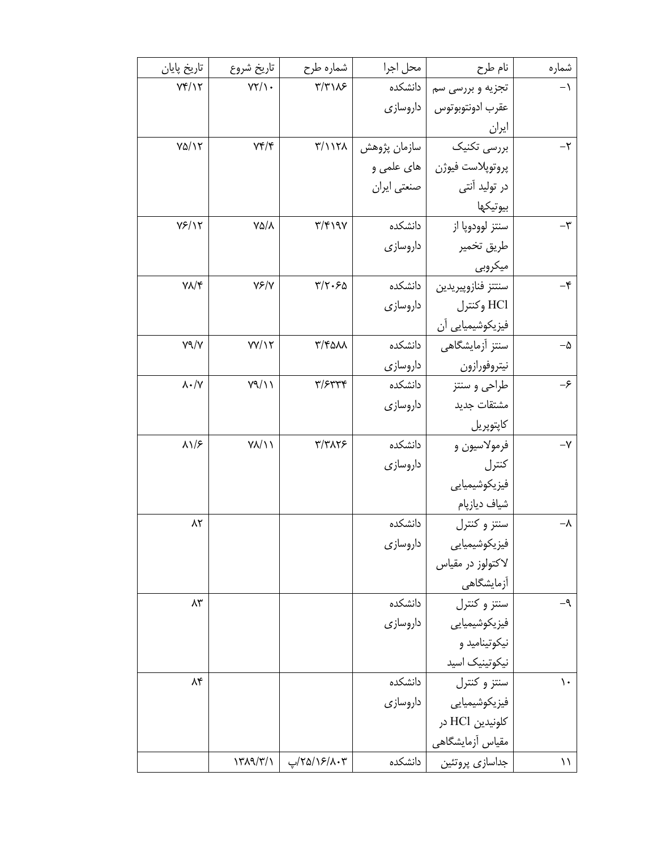| شماره           | نام طرح            | محل اجرا     | شماره طرح                             | تاريخ شروع           | تاريخ پايان              |
|-----------------|--------------------|--------------|---------------------------------------|----------------------|--------------------------|
| $-1$            | تجزیه و بررسی سم   | دانشكده      | $\Upsilon/\Upsilon\setminus\Lambda$ ۶ | $YY/\prime$ .        | Yf/Y                     |
|                 | عقرب ادونتوبوتوس   | داروسازي     |                                       |                      |                          |
|                 | ايران              |              |                                       |                      |                          |
| $-\tau$         | بررسی تکنیک        | سازمان پژوهش | $\mathsf{r}/\mathsf{N}\mathsf{r}$     | $Yf/\mathfrak{r}$    | $Y\Delta/Y$              |
|                 | پروتوپلاست فيوژن   | های علمی و   |                                       |                      |                          |
|                 | در تولید آنتی      | صنعتي ايران  |                                       |                      |                          |
|                 | بيوتيكها           |              |                                       |                      |                          |
| -٣              | سنتز لوودوپا از    | دانشكده      | $\uparrow/\uparrow$ 191               | VQ/A                 | Y5/17                    |
|                 | طريق تخمير         | داروسازي     |                                       |                      |                          |
|                 | ميكروبي            |              |                                       |                      |                          |
| $-\mathfrak{r}$ | سنتتز فنازوپيريدين | دانشكده      | $\Gamma/\Upsilon$ .۶۵                 | $Y \rightarrow Y$    | $Y/\mathcal{N}$          |
|                 | HCl وكنترل         | داروسازي     |                                       |                      |                          |
|                 | فيزيكوشيميايي أن   |              |                                       |                      |                          |
| $-\Delta$       | سنتز آزمایشگاهی    | دانشكده      | $\mathbf{r}/\mathbf{r}$ ann           | YY/17                | Y9/Y                     |
|                 | نيتروفورازون       | داروسازی     |                                       |                      |                          |
| -۶              | طراحي و سنتز       | دانشكده      | $\mathbf{y}/\mathbf{y}$               | Y9/11                | $\lambda \cdot / \gamma$ |
|                 | مشتقات جديد        | داروسازي     |                                       |                      |                          |
|                 | كاپتوپريل          |              |                                       |                      |                          |
| $-\mathsf{Y}$   | فرمولاسيون و       | دانشكده      | ٣/٣٨٢۶                                | $Y/\sqrt{1}$         | $\lambda$                |
|                 | كنترل              | داروسازي     |                                       |                      |                          |
|                 | فيزيكوشيميايي      |              |                                       |                      |                          |
|                 | شياف ديازپام       |              |                                       |                      |                          |
| $-\lambda$      | سنتز و کنترل       | دانشكده      |                                       |                      | ۸۲                       |
|                 | فيزيكوشيميايي      | داروسازي     |                                       |                      |                          |
|                 | لاكتولوز در مقياس  |              |                                       |                      |                          |
|                 | أزمايشگاهى         |              |                                       |                      |                          |
| -۹              | سنتز و كنترل       | دانشكده      |                                       |                      | ۸۳                       |
|                 | فیزیکوشیمیایی      | داروسازى     |                                       |                      |                          |
|                 | نیکوتینامید و      |              |                                       |                      |                          |
|                 | نيكوتينيك اسيد     |              |                                       |                      |                          |
| ١.              | سنتز و کنترل       | دانشكده      |                                       |                      | ۸۴                       |
|                 | فیزیکوشیمیایی      | داروسازي     |                                       |                      |                          |
|                 | كلونيدين HCl در    |              |                                       |                      |                          |
|                 | مقیاس أزمایشگاهی   |              |                                       |                      |                          |
| ۱۱              | جداسازي پروتئين    | دانشكده      | ۲۵/۱۶/۸۰۳/پ                           | $\frac{1}{\sqrt{2}}$ |                          |